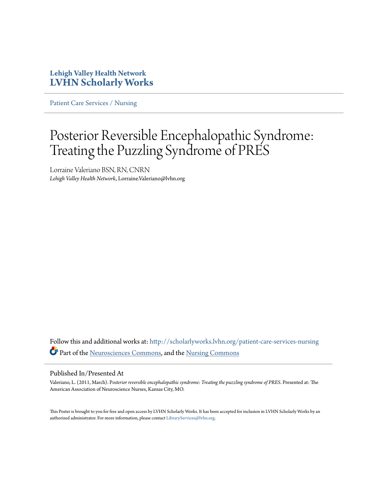### **Lehigh Valley Health Network [LVHN Scholarly Works](http://scholarlyworks.lvhn.org?utm_source=scholarlyworks.lvhn.org%2Fpatient-care-services-nursing%2F300&utm_medium=PDF&utm_campaign=PDFCoverPages)**

[Patient Care Services / Nursing](http://scholarlyworks.lvhn.org/patient-care-services-nursing?utm_source=scholarlyworks.lvhn.org%2Fpatient-care-services-nursing%2F300&utm_medium=PDF&utm_campaign=PDFCoverPages)

# Posterior Reversible Encephalopathic Syndrome: Treating the Puzzling Syndrome of PRES

Lorraine Valeriano BSN, RN, CNRN *Lehigh Valley Health Network*, Lorraine.Valeriano@lvhn.org

Follow this and additional works at: [http://scholarlyworks.lvhn.org/patient-care-services-nursing](http://scholarlyworks.lvhn.org/patient-care-services-nursing?utm_source=scholarlyworks.lvhn.org%2Fpatient-care-services-nursing%2F300&utm_medium=PDF&utm_campaign=PDFCoverPages) Part of the [Neurosciences Commons,](http://network.bepress.com/hgg/discipline/1010?utm_source=scholarlyworks.lvhn.org%2Fpatient-care-services-nursing%2F300&utm_medium=PDF&utm_campaign=PDFCoverPages) and the [Nursing Commons](http://network.bepress.com/hgg/discipline/718?utm_source=scholarlyworks.lvhn.org%2Fpatient-care-services-nursing%2F300&utm_medium=PDF&utm_campaign=PDFCoverPages)

### Published In/Presented At

Valeriano, L. (2011, March). P*osterior reversible encephalopathic syndrome: Treating the puzzling syndrome of PRES*. Presented at: The American Association of Neuroscience Nurses, Kansas City, MO.

This Poster is brought to you for free and open access by LVHN Scholarly Works. It has been accepted for inclusion in LVHN Scholarly Works by an authorized administrator. For more information, please contact [LibraryServices@lvhn.org.](mailto:LibraryServices@lvhn.org)